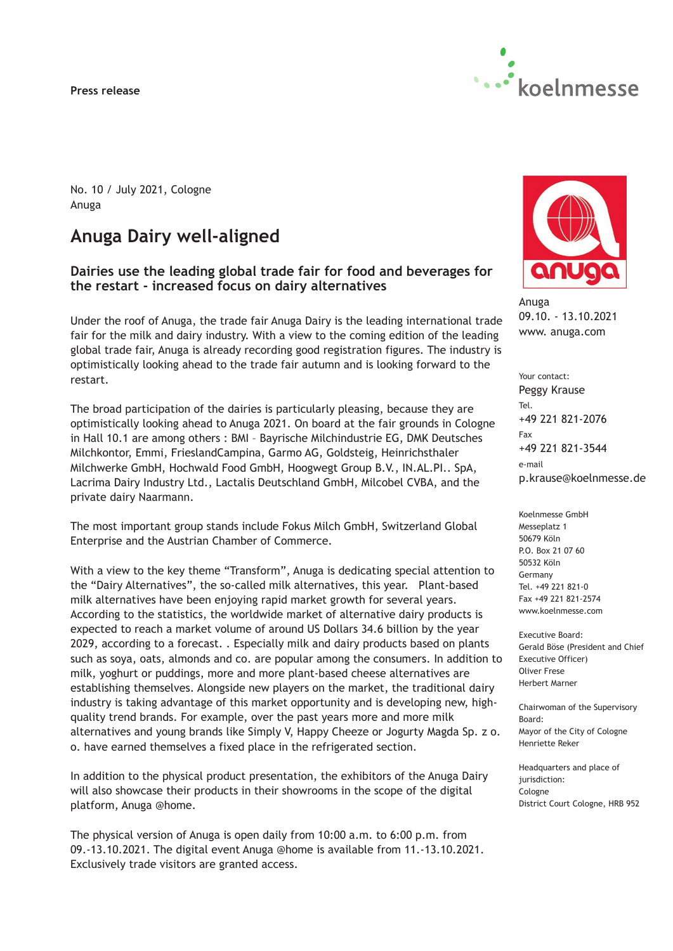#### **Press release**



No. 10 / July 2021, Cologne Anuga

# **Anuga Dairy well-aligned**

# **Dairies use the leading global trade fair for food and beverages for the restart - increased focus on dairy alternatives**

Under the roof of Anuga, the trade fair Anuga Dairy is the leading international trade fair for the milk and dairy industry. With a view to the coming edition of the leading global trade fair, Anuga is already recording good registration figures. The industry is optimistically looking ahead to the trade fair autumn and is looking forward to the restart.

The broad participation of the dairies is particularly pleasing, because they are optimistically looking ahead to Anuga 2021. On board at the fair grounds in Cologne in Hall 10.1 are among others : BMI – Bayrische Milchindustrie EG, DMK Deutsches Milchkontor, Emmi, FrieslandCampina, Garmo AG, Goldsteig, Heinrichsthaler Milchwerke GmbH, Hochwald Food GmbH, Hoogwegt Group B.V., IN.AL.PI.. SpA, Lacrima Dairy Industry Ltd., Lactalis Deutschland GmbH, Milcobel CVBA, and the private dairy Naarmann.

The most important group stands include Fokus Milch GmbH, Switzerland Global Enterprise and the Austrian Chamber of Commerce.

With a view to the key theme "Transform", Anuga is dedicating special attention to the "Dairy Alternatives", the so-called milk alternatives, this year. Plant-based milk alternatives have been enjoying rapid market growth for several years. According to the statistics, the worldwide market of alternative dairy products is expected to reach a market volume of around US Dollars 34.6 billion by the year 2029, according to a forecast. . Especially milk and dairy products based on plants such as soya, oats, almonds and co. are popular among the consumers. In addition to milk, yoghurt or puddings, more and more plant-based cheese alternatives are establishing themselves. Alongside new players on the market, the traditional dairy industry is taking advantage of this market opportunity and is developing new, highquality trend brands. For example, over the past years more and more milk alternatives and young brands like Simply V, Happy Cheeze or Jogurty Magda Sp. z o. o. have earned themselves a fixed place in the refrigerated section.

In addition to the physical product presentation, the exhibitors of the Anuga Dairy will also showcase their products in their showrooms in the scope of the digital platform, Anuga @home.

The physical version of Anuga is open daily from 10:00 a.m. to 6:00 p.m. from 09.-13.10.2021. The digital event Anuga @home is available from 11.-13.10.2021. Exclusively trade visitors are granted access.



Anuga 09.10. - 13.10.2021 www. anuga.com

Your contact: Peggy Krause Tel. +49 221 821-2076 Fax +49 221 821-3544 e-mail p.krause@koelnmesse.de

Koelnmesse GmbH Messeplatz 1 50679 Köln P.O. Box 21 07 60 50532 Köln Germany Tel. +49 221 821-0 Fax +49 221 821-2574 www.koelnmesse.com

Executive Board: Gerald Böse (President and Chief Executive Officer) Oliver Frese Herbert Marner

Chairwoman of the Supervisory Board: Mayor of the City of Cologne Henriette Reker

Headquarters and place of jurisdiction: Cologne District Court Cologne, HRB 952